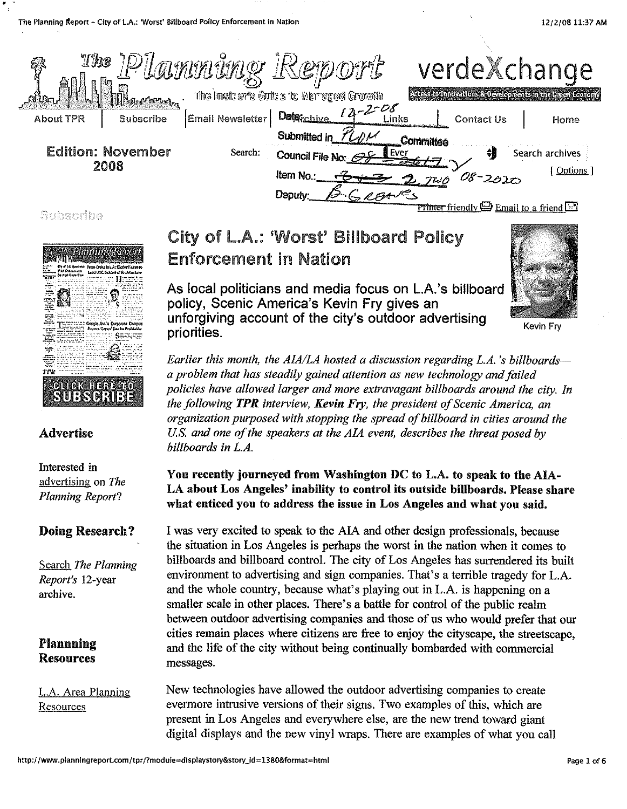

Subscribe

'



### Advertise

Interested in advertising on *The Planning Report?* 

# Doing Research?

Search *The Planning Report's* 12-year archive.

# Plannning Resources

L.A. Area Planning **Resources** 

# City of LA.: 'Worst' Billboard Policy Enforcement in Nation

As local politicians and media focus on L.A.'s billboard policy, Scenic America's Kevin Fry gives an unforgiving account of the city's outdoor advertising priorities.

*Earlier this month, the A/A/LA hosted a discussion regarding L.A. 's billboardsa problem that has steadily gained attention as new technology and failed policies have allowed larger and more extravagant billboards around the city. In the following TPR interview, Kevin Fry, the president of Scenic America, an organization purposed with stopping the spread of billboard in cities around the U.S. and one of the speakers at the AlA event, describes the threat posed by billboards in L.A.* 

## You recently journeyed from Washington DC to L.A. to speak to the AlA-LA about Los Angeles' inability to control its outside billboards. Please share what enticed you to address the issue in Los Angeles and what you said.

I was very excited to speak to the AIA and other design professionals, because the situation in Los Angeles is perhaps the worst in the nation when it comes to billboards and billboard control. The city of Los Angeles has surrendered its built environment to advertising and sign companies. That's a terrible tragedy for L.A. and the whole country, because what's playing out in L.A. is happening on a smaller scale in other places. There's a battle for control of the public realm between outdoor advertising companies and those of us who would prefer that our cities remain places where citizens are free to enjoy the cityscape, the streetscape, and the life of the city without being continually bombarded with commercial messages.

New technologies have allowed the outdoor advertising companies to create evermore intrusive versions of their signs. Two examples of this, which are present in Los Angeles and everywhere else, are the new trend toward giant digital displays and the new vinyl wraps. There are examples of what you call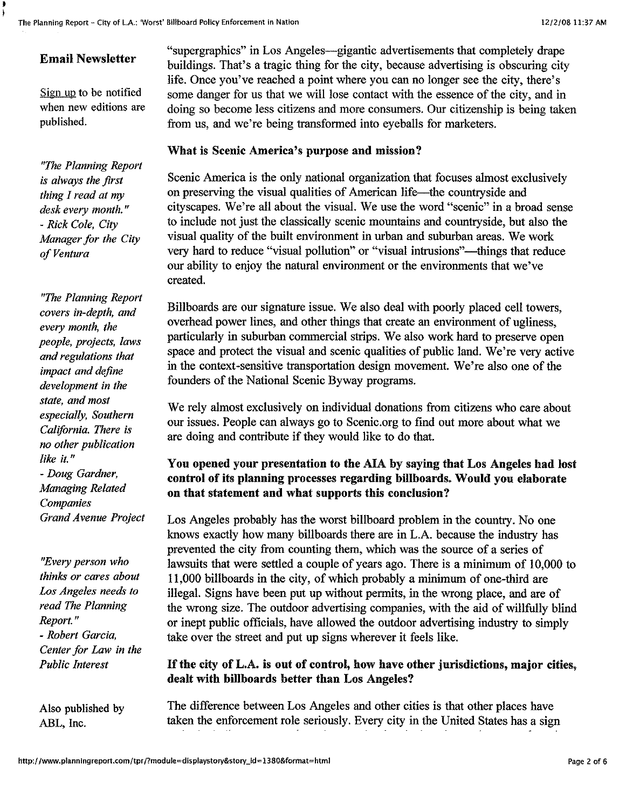## Email Newsletter

 $\frac{1}{2}$ 

Sign up to be notified when new editions are published.

*"The Planning Report is always the first thing I read at my desk every month."*  - *Rick Cole, City Manager for the City of Ventura* 

*"The Planning Report covers in-depth, and every month, the people, projects, laws and regulations that impact and define development in the state, and most especially, Southern California. There is no other publication like it."*  - *Doug Gardner, Afanaging Related Companies Grand Avenue Project* 

*"Every person who thinks or cares about Los Angeles needs to read The Planning Report."*  - *Robert Garcia, Center for Law in the Public Interest* 

Also published by ABL, Inc.

"supergraphics" in Los Angeles--gigantic advertisements that completely drape buildings. That's a tragic thing for the city, because advertising is obscuring city life. Once you've reached a point where you can no longer see the city, there's some danger for us that we will Jose contact with the essence of the city, and in doing so become Jess citizens and more consumers. Our citizenship is being taken from us, and we're being transformed into eyeballs for marketers.

#### What is Scenic America's purpose and mission?

Scenic America is the only national organization that focuses almost exclusively on preserving the visual qualities of American life—the countryside and cityscapes. We're all about the visual. We use the word "scenic" in a broad sense to include not just the classically scenic mountains and countryside, but also the visual quality of the built environment in urban and suburban areas. We work very hard to reduce "visual pollution" or "visual intrusions"—things that reduce our ability to enjoy the natural environment or the environments that we've created.

Billboards are our signature issue. We also deal with poorly placed cell towers, overhead power lines, and other things that create an environment of ugliness, particularly in suburban commercial strips. We also work hard to preserve open space and protect the visual and scenic qualities of public land. We're very active in the context-sensitive transportation design movement. We're also one of the founders of the National Scenic Byway programs.

We rely almost exclusively on individual donations from citizens who care about our issues. People can always go to Scenic.org to find out more about what we are doing and contribute if they would like to do that.

## You opened your presentation to the AlA by saying that Los Angeles had lost control of its planning processes regarding billboards. Would you elaborate on that statement and what supports this conclusion?

Los Angeles probably has the worst billboard problem in the country. No one knows exactly how many billboards there are in L.A. because the industry has prevented the city from counting them, which was the source of a series of lawsuits that were settled a couple of years ago. There is a minimum of 10,000 to 11,000 billboards in the city, of which probably a minimum of one-third are illegal. Signs have been put up without permits, in the wrong place, and are of the wrong size. The outdoor advertising companies, with the aid of willfully blind or inept public officials, have allowed the outdoor advertising industry to simply take over the street and put up signs wherever it feels like.

### If the city of L.A. is out of control, how have other jurisdictions, major cities, dealt with billboards better than Los Angeles?

The difference between Los Angeles and other cities is that other places have taken the enforcement role seriously. Every city in the United States has a sign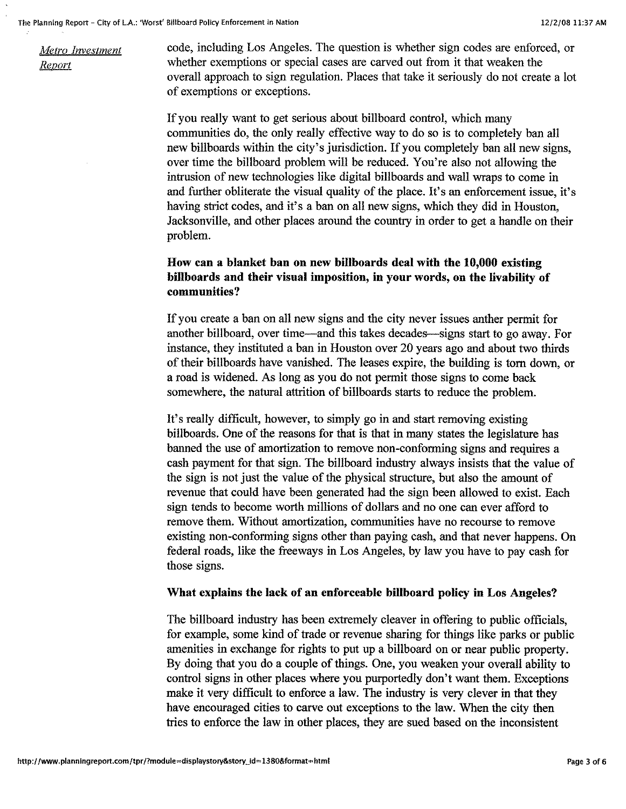*Metro Investment Report* 

code, including Los Angeles. The question is whether sign codes are enforced, or whether exemptions or special cases are carved out from it that weaken the overall approach to sign regulation. Places that take it seriously do not create a lot of exemptions or exceptions.

If you really want to get serious about billboard control, which many communities do, the only really effective way to do so is to completely ban all new billboards within the city's jurisdiction. If you completely ban all new signs, over time the billboard problem will be reduced. You're also not allowing the intrusion of new technologies like digital billboards and wall wraps to come in and further obliterate the visual quality of the place. It's an enforcement issue, it's having strict codes, and it's a ban on all new signs, which they did in Houston, Jacksonville, and other places around the country in order to get a handle on their problem.

#### **How can a blanket ban on new billboards deal with the 10,000 existing billboards and their visual imposition, in your words, on the livability of communities?**

If you create a ban on all new signs and the city never issues anther permit for another billboard, over time-and this takes decades-signs start to go away. For instance, they instituted a ban in Houston over 20 years ago and about two thirds of their billboards have vanished. The leases expire, the building is tom down, or a road is widened. As long as you do not permit those signs to come back somewhere, the natural attrition of billboards starts to reduce the problem.

It's really difficult, however, to simply go in and start removing existing billboards. One of the reasons for that is that in many states the legislature has harmed the use of amortization to remove non-conforming signs and requires a cash payment for that sign. The billboard industry always insists that the value of the sign is not just the value of the physical structure, but also the amount of revenue that could have been generated had the sign been allowed to exist. Each sign tends to become worth millions of dollars and no one can ever afford to remove them. Without amortization, communities have no recourse to remove existing non-conforming signs other than paying cash, and that never happens. On federal roads, like the freeways in Los Angeles, by law you have to pay cash for those signs.

#### **What explains the lack of an enforceable billboard policy in Los Angeles?**

The billboard industry has been extremely cleaver in offering to public officials, for example, some kind of trade or revenue sharing for things like parks or public amenities in exchange for rights to put up a billboard on or near public property. By doing that you do a couple of things. One, you weaken your overall ability to control signs in other places where you purportedly don't want them. Exceptions make it very difficult to enforce a law. The industry is very clever in that they have encouraged cities to carve out exceptions to the law. When the city then tries to enforce the law in other places, they are sued based on the inconsistent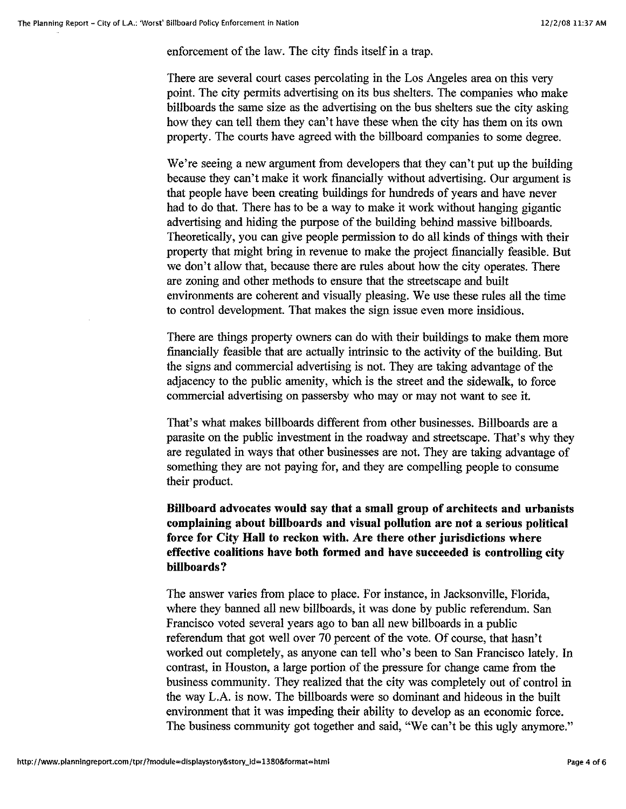enforcement of the law. The city finds itself in a trap.

There are several court cases percolating in the Los Angeles area on this very point. The city permits advertising on its bus shelters. The companies who make billboards the same size as the advertising on the bus shelters sue the city asking how they can tell them they can't have these when the city has them on its own property. The courts have agreed with the billboard companies to some degree.

We're seeing a new argument from developers that they can't put up the building because they can't make it work financially without advertising. Our argument is that people have been creating buildings for hundreds of years and have never had to do that. There has to be a way to make it work without hanging gigantic advertising and hiding the purpose of the building behind massive billboards. Theoretically, you can give people permission to do all kinds of things with their property that might bring in revenue to make the project financially feasible. But we don't allow that, because there are rules about how the city operates. There are zoning and other methods to ensure that the streetscape and built environments are coherent and visually pleasing. We use these rules all the time to control development. That makes the sign issue even more insidious.

There are things property owners can do with their buildings to make them more financially feasible that are actually intrinsic to the activity of the building. But the signs and commercial advertising is not. They are taking advantage of the adjacency to the public amenity, which is the street and the sidewalk, to force commercial advertising on passersby who may or may not want to see it.

That's what makes billboards different from other businesses. Billboards are a parasite on the public investment in the roadway and streetscape. That's why they are regulated in ways that other businesses are not. They are taking advantage of something they are not paying for, and they are compelling people to consume their product.

### **Billboard advocates would say that a small group of architects and urbanists complaining about billboards and visual pollution are not a serious political force for City Hall to reckon with. Are there other jurisdictions where effective coalitions have both formed and have succeeded is controlling city billboards?**

The answer varies from place to place. For instance, in Jacksonville, Florida, where they banned all new billboards, it was done by public referendum. San Francisco voted several years ago to ban all new billboards in a public referendum that got well over 70 percent of the vote. Of course, that hasn't worked out completely, as anyone can tell who's been to San Francisco lately. In contrast, in Houston, a large portion of the pressure for change came from the business community. They realized that the city was completely out of control in the way L.A. is now. The billboards were so dominant and hideous in the built environment that it was impeding their ability to develop as an economic force. The business community got together and said, "We can't be this ugly anymore."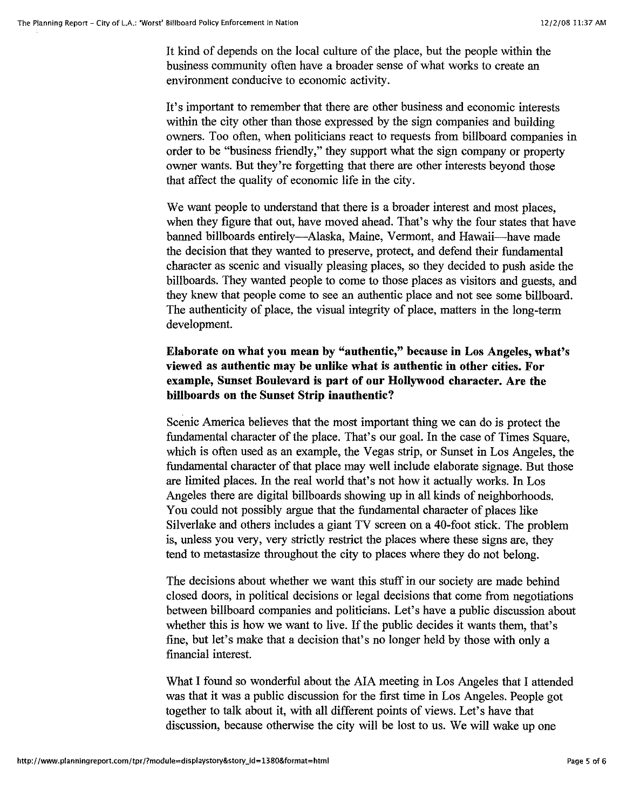It kind of depends on the local culture of the place, but the people within the business community often have a broader sense of what works to create an environment conducive to economic activity.

It's important to remember that there are other business and economic interests within the city other than those expressed by the sign companies and building owners. Too often, when politicians react to requests from billboard companies in order to be "business friendly," they support what the sign company or property owner wants. But they're forgetting that there are other interests beyond those that affect the quality of economic life in the city.

We want people to understand that there is a broader interest and most places. when they figure that out, have moved ahead. That's why the four states that have banned billboards entirely---Alaska, Maine, Vermont, and Hawaii---have made the decision that they wanted to preserve, protect, and defend their fundamental character as scenic and visually pleasing places, so they decided to push aside the billboards. They wanted people to come to those places as visitors and guests, and they knew that people come to see an authentic place and not see some billboard. The authenticity of place, the visual integrity of place, matters in the long-term development.

### **Elaborate on what you mean by "authentic," because in Los Angeles, what's viewed as authentic may be unlike what is authentic in other cities. For example, Sunset Boulevard is part of our Hollywood character. Are the billboards on the Sunset Strip inauthentic?**

Scenic America believes that the most important thing we can do is protect the fundamental character of the place. That's our goal. In the case of Times Square, which is often used as an example, the Vegas strip, or Sunset in Los Angeles, the fundamental character of that place may well include elaborate signage. But those are limited places. In the real world that's not how it actually works. In Los Angeles there are digital billboards showing up in all kinds of neighborhoods. You could not possibly argue that the fundamental character of places like Silverlake and others includes a giant TV screen on a 40-foot stick. The problem is, unless you very, very strictly restrict the places where these signs are, they tend to metastasize throughout the city to places where they do not belong.

The decisions about whether we want this stuff in our society are made behind closed doors, in political decisions or legal decisions that come from negotiations between billboard companies and politicians. Let's have a public discussion about whether this is how we want to live. If the public decides it wants them, that's fine, but let's make that a decision that's no longer held by those with only a financial interest.

What I found so wonderful about the AIA meeting in Los Angeles that I attended was that it was a public discussion for the first time in Los Angeles. People got together to talk about it, with all different points of views. Let's have that discussion, because otherwise the city will be lost to us. We will wake up one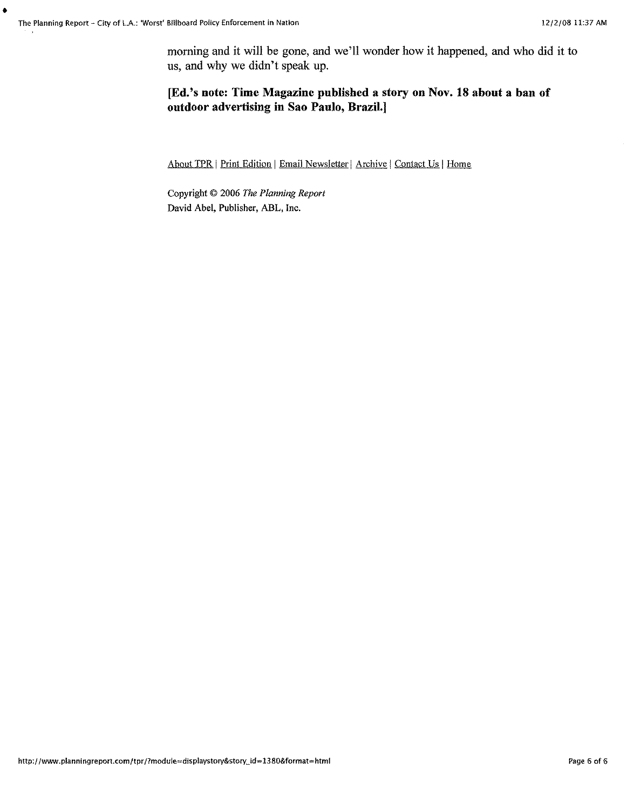•

morning and it will be gone, and we'll wonder how it happened, and who did it to us, and why we didn't speak up.

#### [Ed.'s note: Time Magazine published a story on Nov. 18 about a ban of outdoor advertising in Sao Paulo, Brazil.]

About TPR | Print Edition | Email Newsletter | Archive | Contact Us | Home

Copyright © 2006 *The Planning Report*  David Abel, Publisher, ABL, Inc.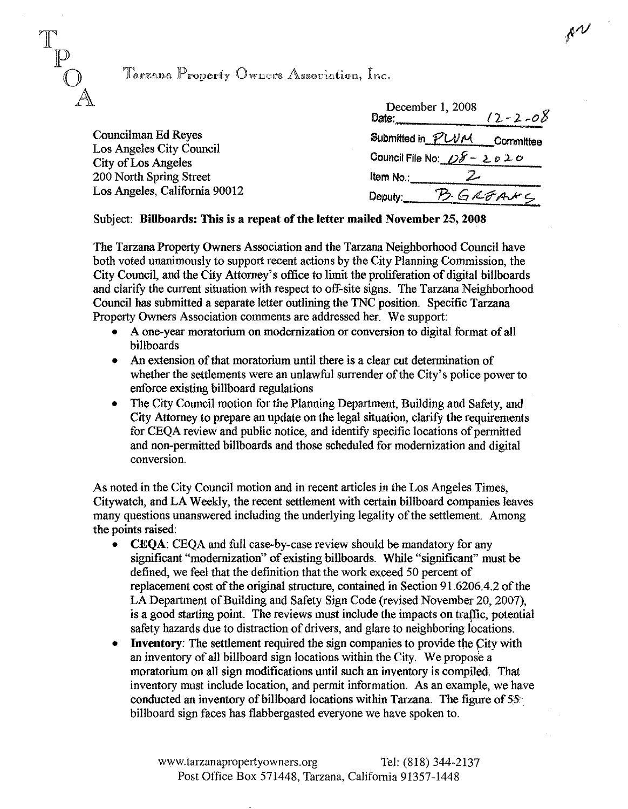

# Tarzana Property Owners Association, Inc.

|                                                                                                                                           | December 1, 2008<br>$12 - 2 - 08$<br>Date:                                                       |
|-------------------------------------------------------------------------------------------------------------------------------------------|--------------------------------------------------------------------------------------------------|
| Councilman Ed Reyes<br>Los Angeles City Council<br><b>City of Los Angeles</b><br>200 North Spring Street<br>Los Angeles, California 90012 | Submitted in PUVM<br>Committee<br>Council File No: 08 - 2020<br>Item No.:<br>B.GREANC<br>Deputy: |

#### Subject: BiUboards: This is a repeat of the letter mailed November 25,2008

The Tarzana Property Owners Association and the Tarzana Neighborhood Council have both voted unanimously to support recent actions by the City Planning Commission, the City Council, and the City Attorney's office to limit the proliferation of digital billboards and clarify the current situation with respect to off-site signs. The Tarzana Neighborhood Council has submitted a separate letter outlining the TNC position. Specific Tarzana Property Owners Association comments are addressed her. We support:

- A one-year moratorium on modernization or conversion to digital format of all billboards
- An extension of that moratorium until there is a clear cut determination of whether the settlements were an unlawful surrender of the City's police power to enforce existing billboard regulations
- The City Council motion for the Planning Department, Building and Safety, and City Attorney to prepare an update on the legal situation, clarify the requirements for CEQA review and public notice, and identify specific locations of permitted and non-permitted billboards and those scheduled for modernization and digital conversion.

As noted in the City Council motion and in recent articles in the Los Angeles Times, Citywatch, and LA Weekly, the recent settlement with certain billboard companies leaves many questions unanswered including the underlying legality of the settlement. Among the points raised:

- CEQA: CEQA and full case-by-case review should be mandatory for any significant "modernization" of existing billboards. While "significant" must be defined, we feel that the definition that the work exceed 50 percent of replacement cost of the original structure, contained in Section 91.6206.4.2 of the LA Department of Building and Safety Sign Code (revised November 20, 2007), is a good starting point. The reviews must include the impacts on traffic, potential safety hazards due to distraction of drivers, and glare to neighboring locations.
- Inventory: The settlement required the sign companies to provide the City with an inventory of all billboard sign locations within the City. We propose a moratorium on all sign modifications until such an inventory is compiled. That inventory must include location, and permit information. As an example, we have conducted an inventory of billboard locations within Tarzana. The figure of  $55^\circ$ billboard sign faces has flabbergasted everyone we have spoken to.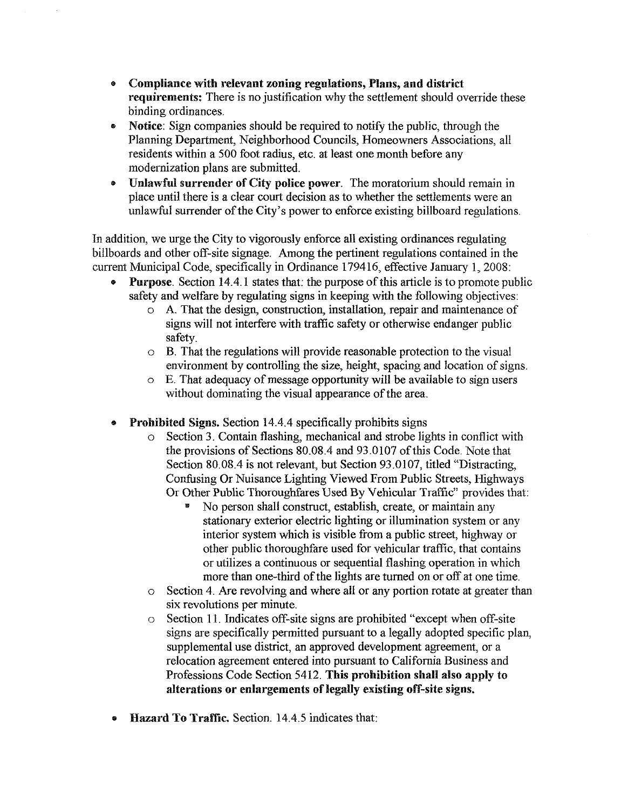- Compliance with relevant zoning regulations, Plans, and district requirements: There is no justification why the settlement should override these binding ordinances.
- Notice: Sign companies should be required to notify the public, through the Planning Department, Neighborhood Councils, Homeowners Associations, all residents within a 500 foot radius, etc. at least one month before any modernization plans are submitted.
- Unlawful surrender of City police power. The moratorium should remain in place until there is a clear court decision as to whether the settlements were an unlawful surrender of the City's power to enforce existing billboard regulations.

In addition, we urge the City to vigorously enforce all existing ordinances regulating billboards and other off-site signage. Among the pertinent regulations contained in the current Municipal Code, specifically in Ordinance 179416, effective January I, 2008:

- Purpose. Section 14.4.1 states that: the purpose of this article is to promote public safety and welfare by regulating signs in keeping with the following objectives:
	- o A. That the design, construction, installation, repair and maintenance of signs will not interfere with traffic safety or otherwise endanger public safety.
	- o B. That the regulations will provide reasonable protection to the visual environment by controlling the size, height, spacing and location of signs.
	- o E. That adequacy of message opportunity will be available to sign users without dominating the visual appearance of the area.
- Prohibited Signs. Section 14.4. 4 specifically prohibits signs
	- o Section 3. Contain flashing, mechanical and strobe lights in conflict with the provisions of Sections 80.08.4 and 93.0107 of this Code. Note that Section 80.08.4 is not relevant, but Section 93.0107, titled "Distracting, Confusing Or Nuisance Lighting Viewed From Public Streets, Highways Or Other Public Thoroughfares Used By Vehicular Traffic'' provides that:
		- No person shall construct, establish, create, or maintain any stationary exterior electric lighting or illumination system or any interior system which is visible from a public street, highway or other public thoroughfare used for vehicular traffic, that contains or utilizes a continuous or sequential flashing operation in which more than one-third of the lights are turned on or off at one time.
	- o Section 4. Are revolving and where all or any portion rotate at greater than six revolutions per minute.
	- o Section 11. Indicates off-site signs are prohibited "except when off-site signs are specifically permitted pursuant to a legally adopted specific plan, supplemental use district, an approved development agreement, or a relocation agreement entered into pursuant to California Business and Professions Code Section 5412. **This** prohibition shall also apply to alterations or enlargements of legally existing off-site signs.
- Hazard To Traffic. Section. 14.4.5 indicates that: